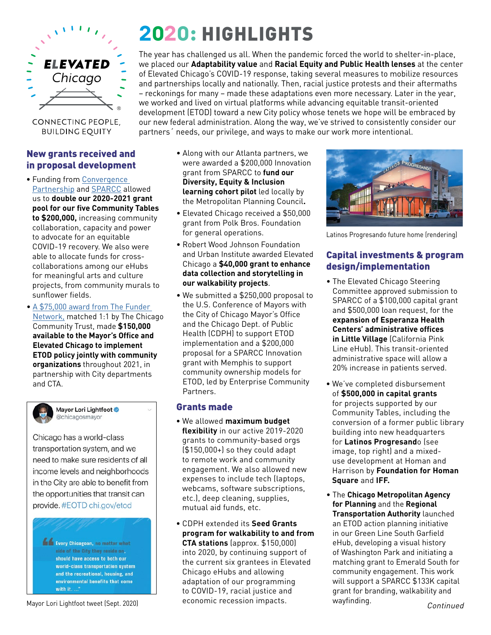

CONNECTING PEOPLE, **BUILDING EQUITY** 

#### New grants received and in proposal development

- Funding from [Convergence](https://convergencepartnership.org)  [Partnership](https://convergencepartnership.org) and [SPARCC](https://www.sparcchub.org) allowed us to **double our 2020-2021 grant pool for our five Community Tables to \$200,000,** increasing community collaboration, capacity and power to advocate for an equitable COVID-19 recovery. We also were able to allocate funds for crosscollaborations among our eHubs for meaningful arts and culture projects, from community murals to sunflower fields.
- A [\\$75,000 award from The Funder](https://www.fundersnetwork.org/partners-for-places-meet-the-new-grantees/)  [Network,](https://www.fundersnetwork.org/partners-for-places-meet-the-new-grantees/) matched 1:1 by The Chicago Community Trust, made **\$150,000 available to the Mayor's Office and Elevated Chicago to implement ETOD policy jointly with community organizations** throughout 2021, in partnership with City departments and CTA.



Mayor Lori Lightfoot @ @chicagosmayor

Chicago has a world-class transportation system, and we need to make sure residents of all income levels and neighborhoods in the City are able to benefit from the opportunities that transit can provide. #EOTD chi.gov/etod

Every Chicagoan, no matter what side of the City they reside on. should have access to both our world-class transportation system and the recreational, housing, and environmental benefits that come with it...

# **2020:** HIGHLIGHTS

The year has challenged us all. When the pandemic forced the world to shelter-in-place, we placed our **Adaptability value** and **Racial Equity and Public Health lenses** at the center of Elevated Chicago's COVID-19 response, taking several measures to mobilize resources and partnerships locally and nationally. Then, racial justice protests and their aftermaths – reckonings for many – made these adaptations even more necessary. Later in the year, we worked and lived on virtual platforms while advancing equitable transit-oriented development (ETOD) toward a new City policy whose tenets we hope will be embraced by our new federal administration. Along the way, we've strived to consistently consider our partners´ needs, our privilege, and ways to make our work more intentional.

- Along with our Atlanta partners, we were awarded a \$200,000 Innovation grant from SPARCC to **fund our Diversity, Equity & Inclusion learning cohort pilot** led locally by the Metropolitan Planning Council**.**
- Elevated Chicago received a \$50,000 grant from Polk Bros. Foundation for general operations.
- Robert Wood Johnson Foundation and Urban Institute awarded Elevated Chicago a **\$40,000 grant to enhance data collection and storytelling in our walkability projects**.
- We submitted a \$250,000 proposal to the U.S. Conference of Mayors with the City of Chicago Mayor's Office and the Chicago Dept. of Public Health (CDPH) to support ETOD implementation and a \$200,000 proposal for a SPARCC Innovation grant with Memphis to support community ownership models for ETOD, led by Enterprise Community Partners.

### Grants made

- We allowed **maximum budget flexibility** in our active 2019-2020 grants to community-based orgs (\$150,000+) so they could adapt to remote work and community engagement. We also allowed new expenses to include tech (laptops, webcams, software subscriptions, etc.), deep cleaning, supplies, mutual aid funds, etc.
- CDPH extended its **Seed Grants program for walkability to and from CTA stations** (approx. \$150,000) into 2020, by continuing support of the current six grantees in Elevated Chicago eHubs and allowing adaptation of our programming to COVID-19, racial justice and economic recession impacts. Mayor Lori Lightfoot tweet (Sept. 2020) economic recession impacts. wayfinding.



Latinos Progresando future home (rendering)

# Capital investments & program design/implementation

- The Elevated Chicago Steering Committee approved submission to SPARCC of a \$100,000 capital grant and \$500,000 loan request, for the **expansion of Esperanza Health Centers' administrative offices in Little Village** (California Pink Line eHub). This transit-oriented administrative space will allow a 20% increase in patients served.
- We've completed disbursement of **\$500,000 in capital grants**  for projects supported by our Community Tables, including the conversion of a former public library building into new headquarters for **Latinos Progresand**o (see image, top right) and a mixeduse development at Homan and Harrison by **Foundation for Homan Square** and **IFF.**
- The **Chicago Metropolitan Agency for Planning** and the **Regional Transportation Authority** launched an ETOD action planning initiative in our Green Line South Garfield eHub, developing a visual history of Washington Park and initiating a matching grant to Emerald South for community engagement. This work will support a SPARCC \$133K capital grant for branding, walkability and